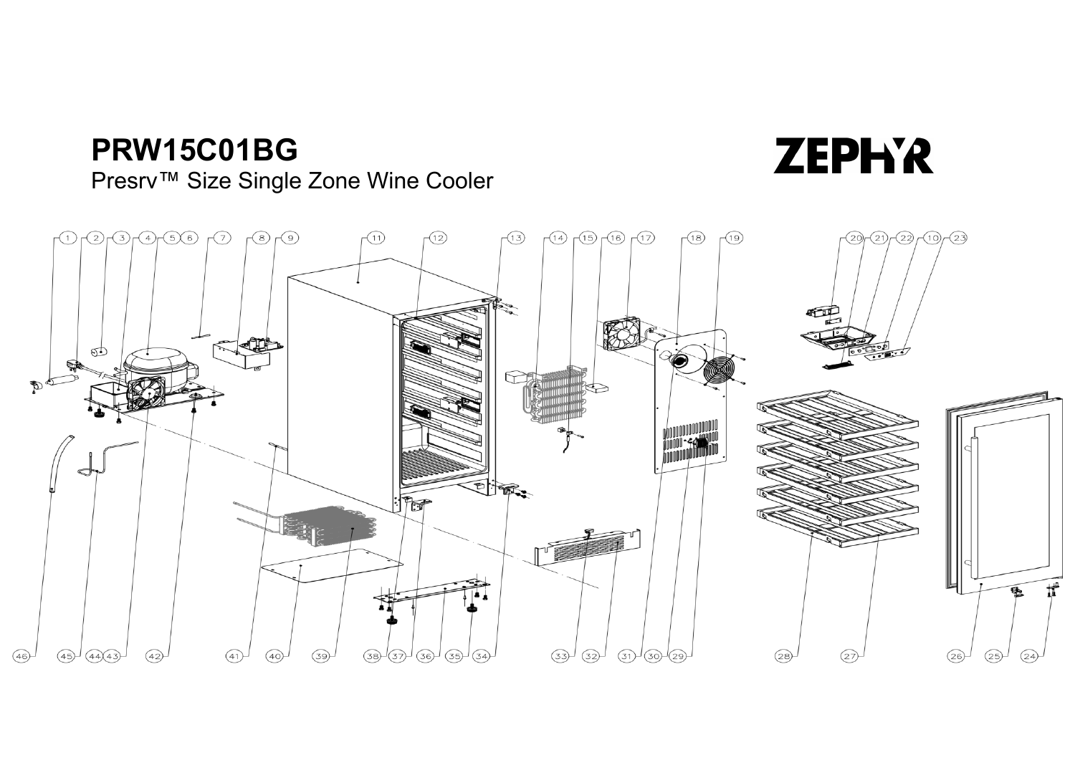## **PRW15C01BG**

Presrv™ Size Single Zone Wine Cooler

## $(2)(3)(4)(5)6)$  $\sqrt{7}$  $\sqrt{8}$  $\sqrt{(12)}$  $(14)$   $(15)$   $(16)$   $(17)$  $\sqrt{18}$  $\sqrt{19}$  $(21)$   $(22)$   $(10)$   $(23)$  $\widehat{(\Upsilon)}$  $\sqrt{1}$  $(13)$  $\widehat{20r}$ ல் D 2 EN PRE  $\mathbb{R}$  $\textbf{t}^{\text{th}}$  $(45)$  $(44)(43)$  $(42)$  $(40)$  $(39)$  $(38)$  $\circled{37}$  $(36)$  $(35)$  $(33)$  $(32)$  $(31)$  $(30)$  $(28)$  $(26)$  $(25)$  $(24)$  $(46)$  $(41)$  $(34)$ 29  $\sqrt{27}$

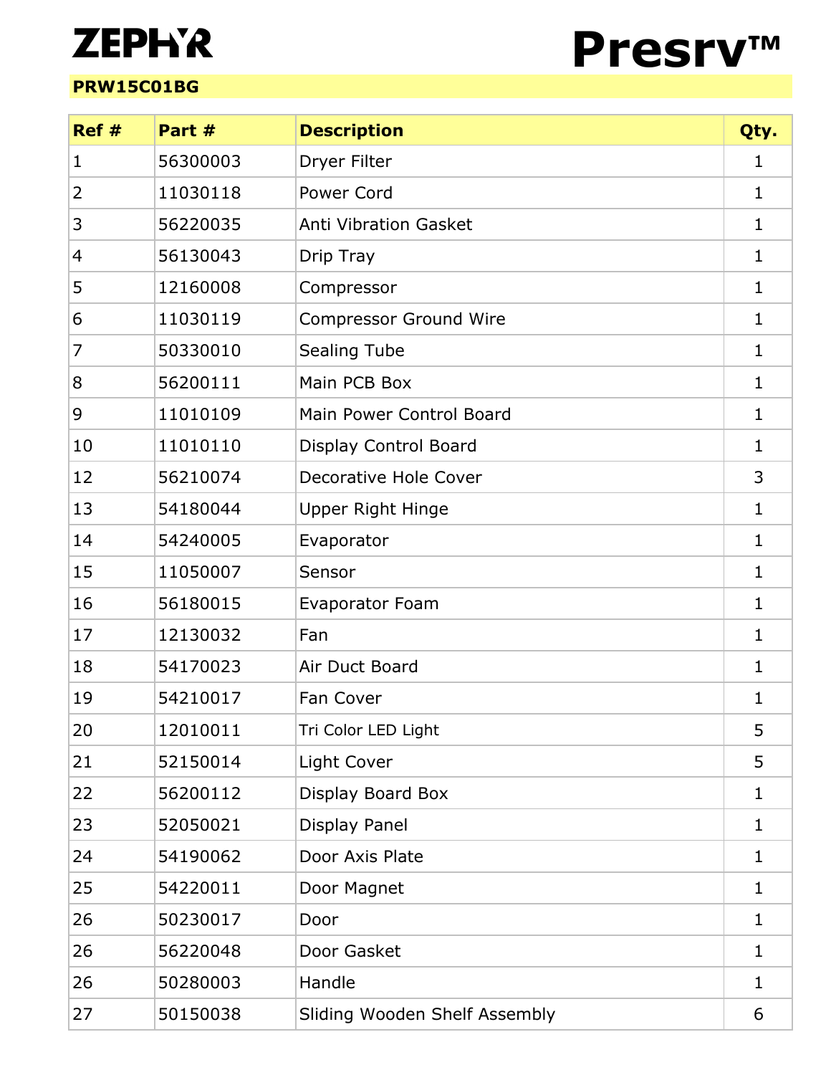## **ZEPH'R**

## **PRW15C01BG**



| Ref#           | Part #   | <b>Description</b>            | Qty.         |
|----------------|----------|-------------------------------|--------------|
| 1              | 56300003 | Dryer Filter                  | 1            |
| $\overline{2}$ | 11030118 | Power Cord                    | 1            |
| 3              | 56220035 | <b>Anti Vibration Gasket</b>  | 1            |
| 4              | 56130043 | Drip Tray                     | 1            |
| 5              | 12160008 | Compressor                    | $\mathbf{1}$ |
| 6              | 11030119 | <b>Compressor Ground Wire</b> | 1            |
| 7              | 50330010 | <b>Sealing Tube</b>           | 1            |
| 8              | 56200111 | Main PCB Box                  | 1            |
| 9              | 11010109 | Main Power Control Board      | 1            |
| 10             | 11010110 | Display Control Board         | 1            |
| 12             | 56210074 | Decorative Hole Cover         | 3            |
| 13             | 54180044 | <b>Upper Right Hinge</b>      | $\mathbf{1}$ |
| 14             | 54240005 | Evaporator                    | $\mathbf{1}$ |
| 15             | 11050007 | Sensor                        | $\mathbf{1}$ |
| 16             | 56180015 | <b>Evaporator Foam</b>        | 1            |
| 17             | 12130032 | Fan                           | 1            |
| 18             | 54170023 | Air Duct Board                | 1            |
| 19             | 54210017 | Fan Cover                     | 1            |
| 20             | 12010011 | Tri Color LED Light           | 5            |
| 21             | 52150014 | Light Cover                   | 5            |
| 22             | 56200112 | Display Board Box             | 1            |
| 23             | 52050021 | Display Panel                 | 1            |
| 24             | 54190062 | Door Axis Plate               | 1            |
| 25             | 54220011 | Door Magnet                   | 1            |
| 26             | 50230017 | Door                          | 1            |
| 26             | 56220048 | Door Gasket                   | 1            |
| 26             | 50280003 | Handle                        | $\mathbf{1}$ |
| 27             | 50150038 | Sliding Wooden Shelf Assembly | 6            |